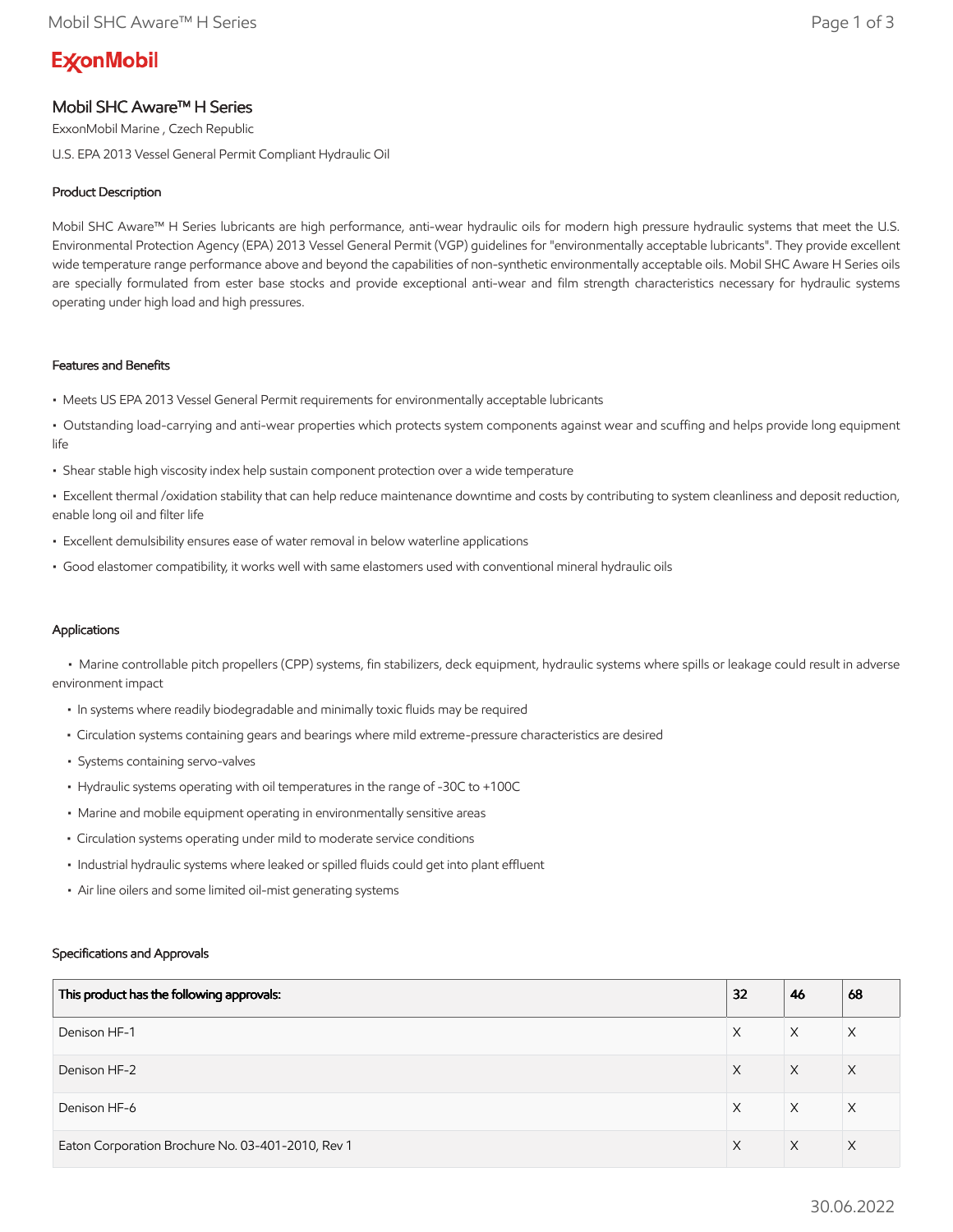# **ExconMobil**

# Mobil SHC Aware™ H Series

ExxonMobil Marine , Czech Republic

U.S. EPA 2013 Vessel General Permit Compliant Hydraulic Oil

# Product Description

Mobil SHC Aware™ H Series lubricants are high performance, anti-wear hydraulic oils for modern high pressure hydraulic systems that meet the U.S. Environmental Protection Agency (EPA) 2013 Vessel General Permit (VGP) guidelines for "environmentally acceptable lubricants". They provide excellent wide temperature range performance above and beyond the capabilities of non-synthetic environmentally acceptable oils. Mobil SHC Aware H Series oils are specially formulated from ester base stocks and provide exceptional anti-wear and film strength characteristics necessary for hydraulic systems operating under high load and high pressures.

## Features and Benefits

- Meets US EPA 2013 Vessel General Permit requirements for environmentally acceptable lubricants
- Outstanding load-carrying and anti-wear properties which protects system components against wear and scuffing and helps provide long equipment life
- Shear stable high viscosity index help sustain component protection over a wide temperature

• Excellent thermal /oxidation stability that can help reduce maintenance downtime and costs by contributing to system cleanliness and deposit reduction, enable long oil and filter life

- Excellent demulsibility ensures ease of water removal in below waterline applications
- Good elastomer compatibility, it works well with same elastomers used with conventional mineral hydraulic oils

# Applications

 • Marine controllable pitch propellers (CPP) systems, fin stabilizers, deck equipment, hydraulic systems where spills or leakage could result in adverse environment impact

- In systems where readily biodegradable and minimally toxic fluids may be required
- Circulation systems containing gears and bearings where mild extreme-pressure characteristics are desired
- Systems containing servo-valves
- Hydraulic systems operating with oil temperatures in the range of -30C to +100C
- Marine and mobile equipment operating in environmentally sensitive areas
- Circulation systems operating under mild to moderate service conditions
- Industrial hydraulic systems where leaked or spilled fluids could get into plant effluent
- Air line oilers and some limited oil-mist generating systems

## Specifications and Approvals

| This product has the following approvals:         | 32 | 46 | 68       |
|---------------------------------------------------|----|----|----------|
| Denison HF-1                                      | X  | X  | Χ        |
| Denison HF-2                                      | X  | X  | $\times$ |
| Denison HF-6                                      | X  | X  | X        |
| Eaton Corporation Brochure No. 03-401-2010, Rev 1 | X  | X  | $\times$ |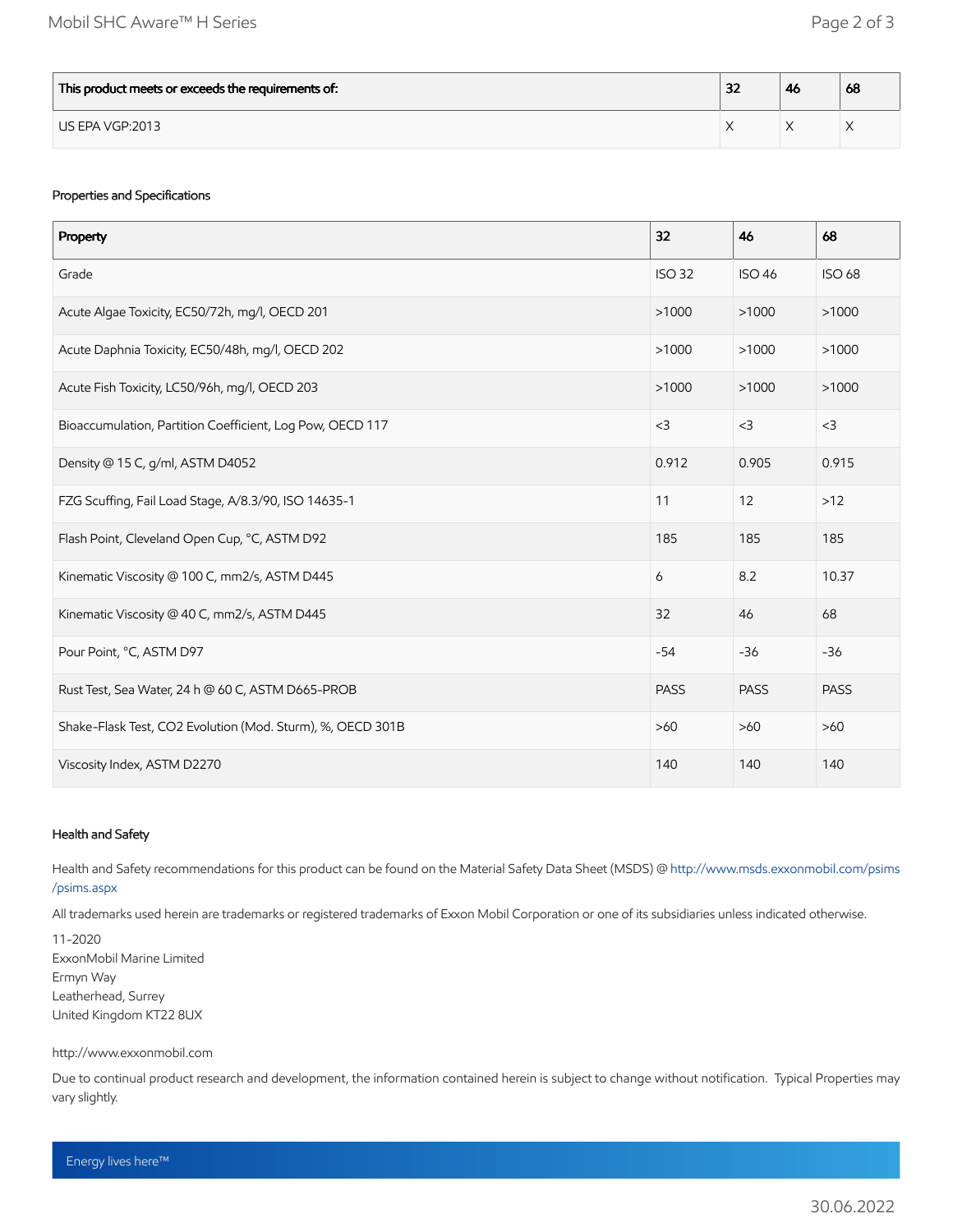| This product meets or exceeds the requirements of: | $\sim$<br>ж | -46 | 68 |
|----------------------------------------------------|-------------|-----|----|
| US EPA VGP:2013                                    |             |     |    |

# Properties and Specifications

| Property                                                   | 32            | 46            | 68            |
|------------------------------------------------------------|---------------|---------------|---------------|
| Grade                                                      | <b>ISO 32</b> | <b>ISO 46</b> | <b>ISO 68</b> |
| Acute Algae Toxicity, EC50/72h, mg/l, OECD 201             | >1000         | >1000         | >1000         |
| Acute Daphnia Toxicity, EC50/48h, mg/l, OECD 202           | >1000         | >1000         | >1000         |
| Acute Fish Toxicity, LC50/96h, mg/l, OECD 203              | >1000         | >1000         | >1000         |
| Bioaccumulation, Partition Coefficient, Log Pow, OECD 117  | $<$ 3         | $<$ 3         | $<$ 3         |
| Density @ 15 C, g/ml, ASTM D4052                           | 0.912         | 0.905         | 0.915         |
| FZG Scuffing, Fail Load Stage, A/8.3/90, ISO 14635-1       | 11            | 12            | $>12$         |
| Flash Point, Cleveland Open Cup, °C, ASTM D92              | 185           | 185           | 185           |
| Kinematic Viscosity @ 100 C, mm2/s, ASTM D445              | 6             | 8.2           | 10.37         |
| Kinematic Viscosity @ 40 C, mm2/s, ASTM D445               | 32            | 46            | 68            |
| Pour Point, °C, ASTM D97                                   | $-54$         | $-36$         | $-36$         |
| Rust Test, Sea Water, 24 h @ 60 C, ASTM D665-PROB          | <b>PASS</b>   | <b>PASS</b>   | <b>PASS</b>   |
| Shake-Flask Test, CO2 Evolution (Mod. Sturm), %, OECD 301B | $>60$         | $>60$         | $>60$         |
| Viscosity Index, ASTM D2270                                | 140           | 140           | 140           |

## Health and Safety

Health and Safety recommendations for this product can be found on the Material Safety Data Sheet (MSDS) @ [http://www.msds.exxonmobil.com/psims](http://www.msds.exxonmobil.com/psims/psims.aspx) /psims.aspx

All trademarks used herein are trademarks or registered trademarks of Exxon Mobil Corporation or one of its subsidiaries unless indicated otherwise.

11-2020 ExxonMobil Marine Limited Ermyn Way Leatherhead, Surrey United Kingdom KT22 8UX

#### http://www.exxonmobil.com

Due to continual product research and development, the information contained herein is subject to change without notification. Typical Properties may vary slightly.